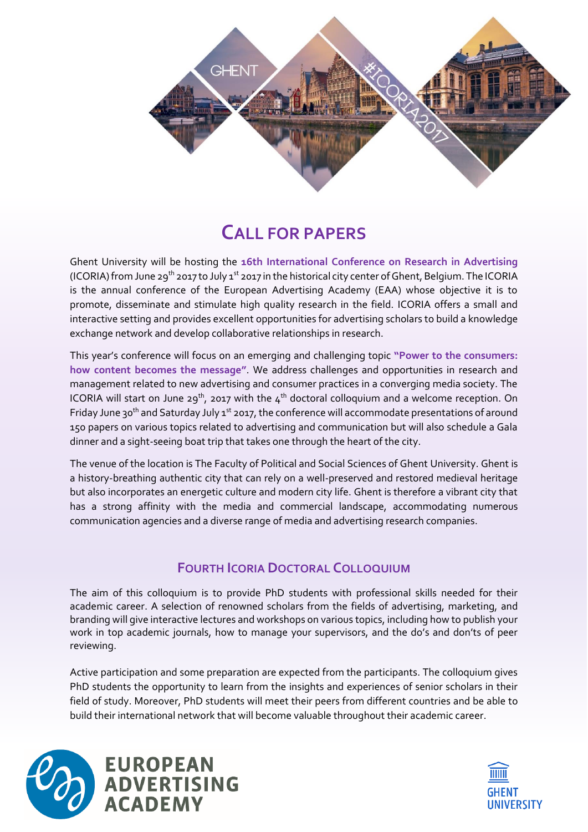

# **CALL FOR PAPERS**

Ghent University will be hosting the **16th International Conference on Research in Advertising** (ICORIA) from June 29<sup>th</sup> 2017 to July 1<sup>st</sup> 2017 in the historical city center of Ghent, Belgium. The ICORIA is the annual conference of the European Advertising Academy (EAA) whose objective it is to promote, disseminate and stimulate high quality research in the field. ICORIA offers a small and interactive setting and provides excellent opportunities for advertising scholars to build a knowledge exchange network and develop collaborative relationships in research.

This year's conference will focus on an emerging and challenging topic **"Power to the consumers: how content becomes the message"**. We address challenges and opportunities in research and management related to new advertising and consumer practices in a converging media society. The ICORIA will start on June 29<sup>th</sup>, 2017 with the 4<sup>th</sup> doctoral colloquium and a welcome reception. On Friday June 30<sup>th</sup> and Saturday July 1<sup>st</sup> 2017, the conference will accommodate presentations of around 150 papers on various topics related to advertising and communication but will also schedule a Gala dinner and a sight-seeing boat trip that takes one through the heart of the city.

The venue of the location is The Faculty of Political and Social Sciences of Ghent University. Ghent is a history-breathing authentic city that can rely on a well-preserved and restored medieval heritage but also incorporates an energetic culture and modern city life. Ghent is therefore a vibrant city that has a strong affinity with the media and commercial landscape, accommodating numerous communication agencies and a diverse range of media and advertising research companies.

## **FOURTH ICORIA DOCTORAL COLLOQUIUM**

The aim of this colloquium is to provide PhD students with professional skills needed for their academic career. A selection of renowned scholars from the fields of advertising, marketing, and branding will give interactive lectures and workshops on various topics, including how to publish your work in top academic journals, how to manage your supervisors, and the do's and don'ts of peer reviewing.

Active participation and some preparation are expected from the participants. The colloquium gives PhD students the opportunity to learn from the insights and experiences of senior scholars in their field of study. Moreover, PhD students will meet their peers from different countries and be able to build their international network that will become valuable throughout their academic career.



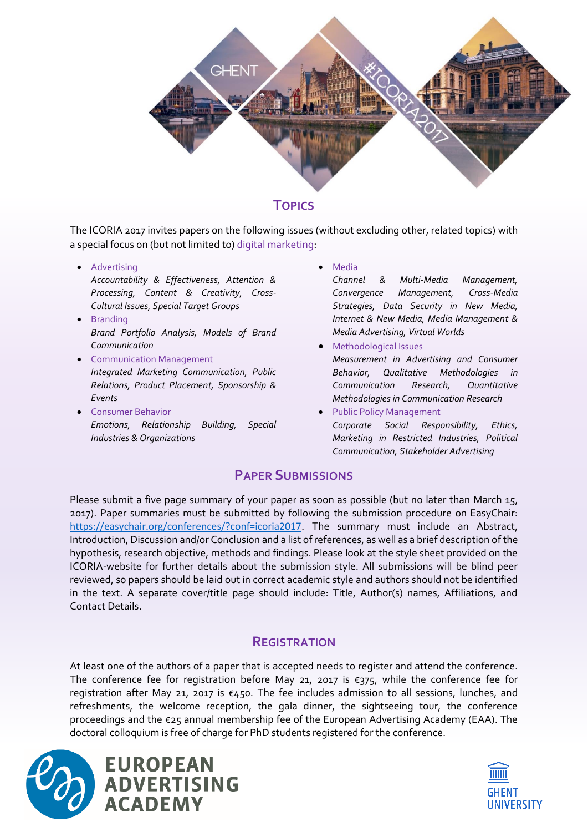

### **TOPICS**

The ICORIA 2017 invites papers on the following issues (without excluding other, related topics) with a special focus on (but not limited to) digital marketing:

• Advertising

*Accountability & Effectiveness, Attention & Processing, Content & Creativity, Cross‐ Cultural Issues, Special Target Groups*

- Branding *Brand Portfolio Analysis, Models of Brand Communication*
- **•** Communication Management *Integrated Marketing Communication, Public Relations, Product Placement, Sponsorship & Events*
- **•** Consumer Behavior *Emotions, Relationship Building, Special Industries & Organizations*

Media

*Channel & Multi-Media Management, Convergence Management, Cross‐Media Strategies, Data Security in New Media, Internet & New Media, Media Management & Media Advertising, Virtual Worlds*

- Methodological Issues *Measurement in Advertising and Consumer Behavior, Qualitative Methodologies in Communication Research, Quantitative Methodologies in Communication Research*
- Public Policy Management *Corporate Social Responsibility, Ethics, Marketing in Restricted Industries, Political Communication, Stakeholder Advertising*

#### **PAPER SUBMISSIONS**

Please submit a five page summary of your paper as soon as possible (but no later than March 15, 2017). Paper summaries must be submitted by following the submission procedure on EasyChair: <https://easychair.org/conferences/?conf=icoria2017>. The summary must include an Abstract, Introduction, Discussion and/or Conclusion and a list of references, as well as a brief description of the hypothesis, research objective, methods and findings. Please look at the style sheet provided on the ICORIA-website for further details about the submission style. All submissions will be blind peer reviewed, so papers should be laid out in correct academic style and authors should not be identified in the text. A separate cover/title page should include: Title, Author(s) names, Affiliations, and Contact Details.

#### **REGISTRATION**

At least one of the authors of a paper that is accepted needs to register and attend the conference. The conference fee for registration before May 21, 2017 is  $\epsilon$ 375, while the conference fee for registration after May 21, 2017 is €450. The fee includes admission to all sessions, lunches, and refreshments, the welcome reception, the gala dinner, the sightseeing tour, the conference proceedings and the €25 annual membership fee of the European Advertising Academy (EAA). The doctoral colloquium is free of charge for PhD students registered for the conference.